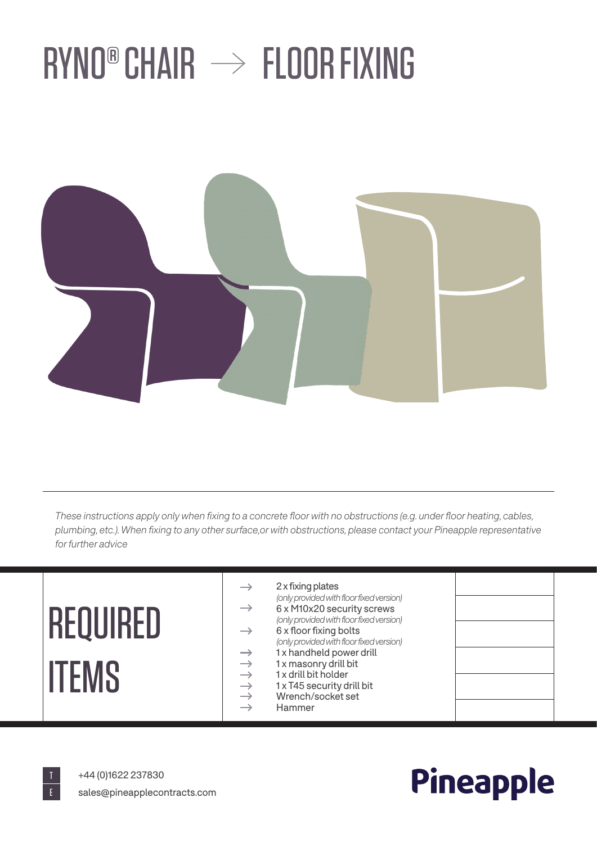## $RYNO<sup>®</sup>$  CHAIR  $\rightarrow$  FLOOR FIXING



*These instructions apply only when fixing to a concrete floor with no obstructions (e.g. under floor heating, cables, plumbing, etc.). When fixing to any other surface,or with obstructions, please contact your Pineapple representative for further advice*

### 2 x fixing plates  $\rightarrow$ *(only provided with floor fixed version)*  $\rightarrow$ REQUIRED 6 x M10x20 security screws *(only provided with floor fixed version)* 6 x floor fixing bolts  $\rightarrow$ *(only provided with floor fixed version)* 1 x handheld power drill  $\rightarrow$ →<br>→<br>→<br>→<br>→ **ITEMS** 1 x masonry drill bit 1 x drill bit holder 1 x T45 security drill bit Wrench/socket set Hammer



+44 (0)1622 237830 sales@pineapplecontracts.com

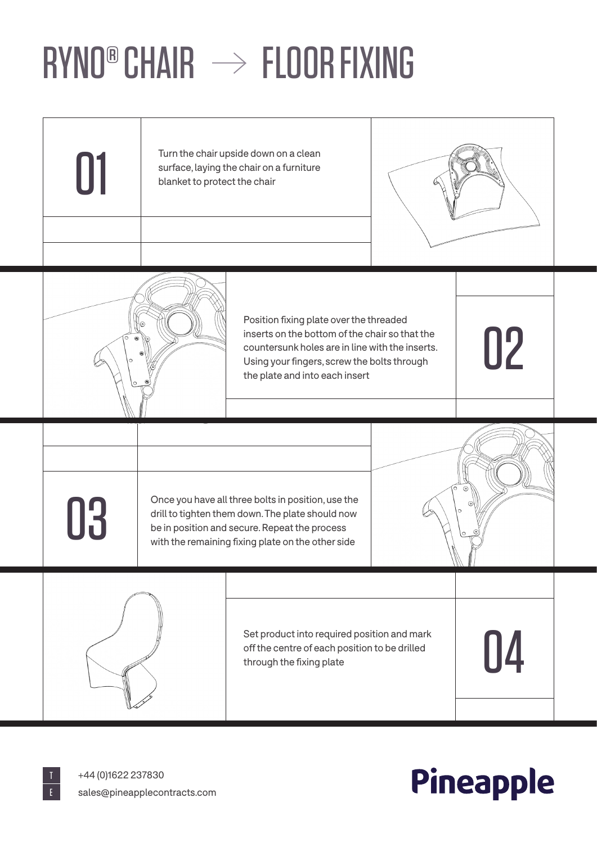# $RYNO<sup>®</sup>$  CHAIR  $\rightarrow$  FLOOR FIXING





### Pineapple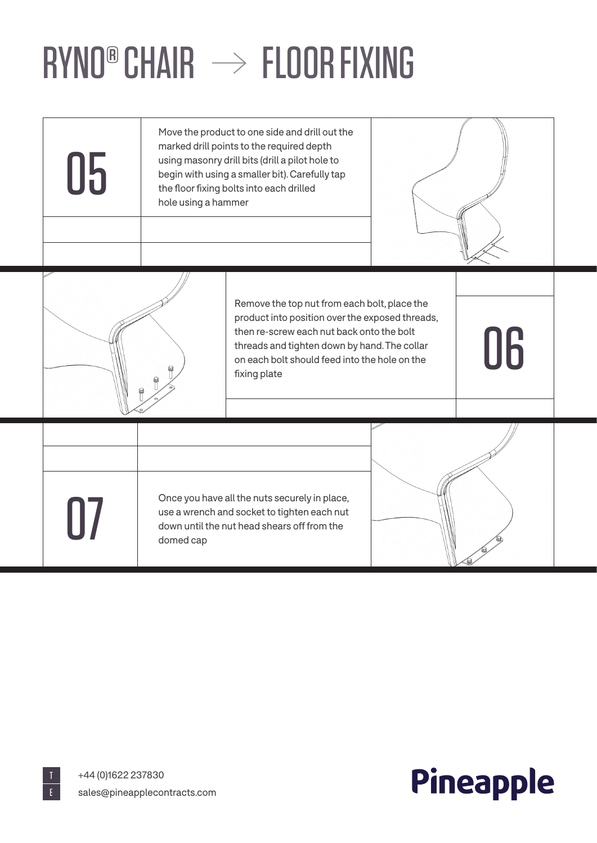# $RYNO<sup>®</sup>$  CHAIR  $\rightarrow$  FLOOR FIXING

| 05      | Move the product to one side and drill out the<br>marked drill points to the required depth<br>using masonry drill bits (drill a pilot hole to<br>begin with using a smaller bit). Carefully tap<br>the floor fixing bolts into each drilled<br>hole using a hammer |                                                                                                                                                                                                                                                               |    |
|---------|---------------------------------------------------------------------------------------------------------------------------------------------------------------------------------------------------------------------------------------------------------------------|---------------------------------------------------------------------------------------------------------------------------------------------------------------------------------------------------------------------------------------------------------------|----|
|         |                                                                                                                                                                                                                                                                     | Remove the top nut from each bolt, place the<br>product into position over the exposed threads,<br>then re-screw each nut back onto the bolt<br>threads and tighten down by hand. The collar<br>on each bolt should feed into the hole on the<br>fixing plate | 06 |
| $\prod$ | domed cap                                                                                                                                                                                                                                                           | Once you have all the nuts securely in place,<br>use a wrench and socket to tighten each nut<br>down until the nut head shears off from the                                                                                                                   |    |